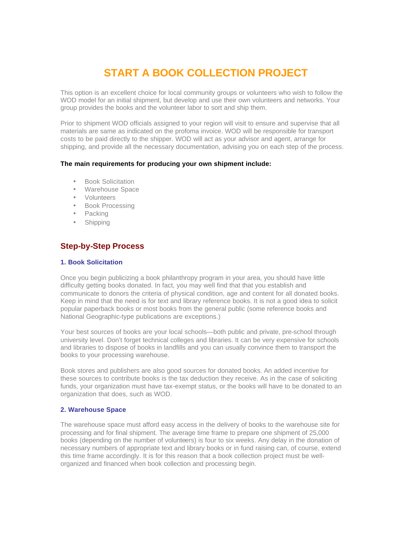# **START A BOOK COLLECTION PROJECT**

This option is an excellent choice for local community groups or volunteers who wish to follow the WOD model for an initial shipment, but develop and use their own volunteers and networks. Your group provides the books and the volunteer labor to sort and ship them.

Prior to shipment WOD officials assigned to your region will visit to ensure and supervise that all materials are same as indicated on the profoma invoice. WOD will be responsible for transport costs to be paid directly to the shipper. WOD will act as your advisor and agent, arrange for shipping, and provide all the necessary documentation, advising you on each step of the process.

#### **The main requirements for producing your own shipment include:**

- Book Solicitation
- Warehouse Space
- Volunteers
- Book Processing
- Packing
- Shipping

## **Step-by-Step Process**

#### **1. Book Solicitation**

Once you begin publicizing a book philanthropy program in your area, you should have little difficulty getting books donated. In fact, you may well find that that you establish and communicate to donors the criteria of physical condition, age and content for all donated books. Keep in mind that the need is for text and library reference books. It is not a good idea to solicit popular paperback books or most books from the general public (some reference books and National Geographic-type publications are exceptions.)

Your best sources of books are your local schools—both public and private, pre-school through university level. Don't forget technical colleges and libraries. It can be very expensive for schools and libraries to dispose of books in landfills and you can usually convince them to transport the books to your processing warehouse.

Book stores and publishers are also good sources for donated books. An added incentive for these sources to contribute books is the tax deduction they receive. As in the case of soliciting funds, your organization must have tax-exempt status, or the books will have to be donated to an organization that does, such as WOD.

## **2. Warehouse Space**

The warehouse space must afford easy access in the delivery of books to the warehouse site for processing and for final shipment. The average time frame to prepare one shipment of 25,000 books (depending on the number of volunteers) is four to six weeks. Any delay in the donation of necessary numbers of appropriate text and library books or in fund raising can, of course, extend this time frame accordingly. It is for this reason that a book collection project must be wellorganized and financed when book collection and processing begin.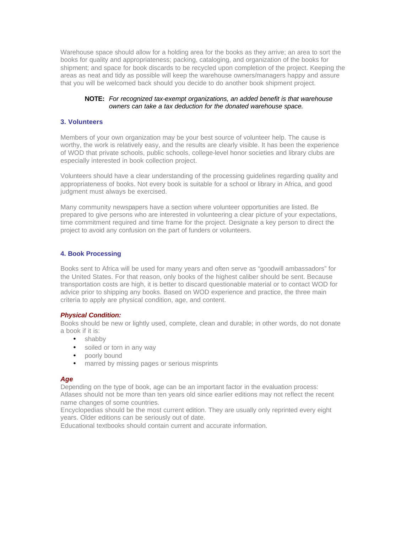Warehouse space should allow for a holding area for the books as they arrive; an area to sort the books for quality and appropriateness; packing, cataloging, and organization of the books for shipment; and space for book discards to be recycled upon completion of the project. Keeping the areas as neat and tidy as possible will keep the warehouse owners/managers happy and assure that you will be welcomed back should you decide to do another book shipment project.

#### **NOTE:** *For recognized tax-exempt organizations, an added benefit is that warehouse owners can take a tax deduction for the donated warehouse space.*

## **3. Volunteers**

Members of your own organization may be your best source of volunteer help. The cause is worthy, the work is relatively easy, and the results are clearly visible. It has been the experience of WOD that private schools, public schools, college-level honor societies and library clubs are especially interested in book collection project.

Volunteers should have a clear understanding of the processing guidelines regarding quality and appropriateness of books. Not every book is suitable for a school or library in Africa, and good judgment must always be exercised.

Many community newspapers have a section where volunteer opportunities are listed. Be prepared to give persons who are interested in volunteering a clear picture of your expectations, time commitment required and time frame for the project. Designate a key person to direct the project to avoid any confusion on the part of funders or volunteers.

## **4. Book Processing**

Books sent to Africa will be used for many years and often serve as "goodwill ambassadors" for the United States. For that reason, only books of the highest caliber should be sent. Because transportation costs are high, it is better to discard questionable material or to contact WOD for advice prior to shipping any books. Based on WOD experience and practice, the three main criteria to apply are physical condition, age, and content.

## *Physical Condition:*

Books should be new or lightly used, complete, clean and durable; in other words, do not donate a book if it is:

- shabby
- soiled or torn in any way
- poorly bound
- marred by missing pages or serious misprints

## *Age*

Depending on the type of book, age can be an important factor in the evaluation process: Atlases should not be more than ten years old since earlier editions may not reflect the recent name changes of some countries.

Encyclopedias should be the most current edition. They are usually only reprinted every eight years. Older editions can be seriously out of date.

Educational textbooks should contain current and accurate information.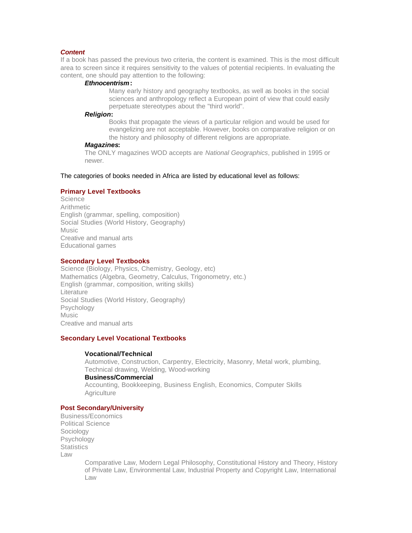#### *Content*

If a book has passed the previous two criteria, the content is examined. This is the most difficult area to screen since it requires sensitivity to the values of potential recipients. In evaluating the content, one should pay attention to the following:

#### *Ethnocentrism***:**

Many early history and geography textbooks, as well as books in the social sciences and anthropology reflect a European point of view that could easily perpetuate stereotypes about the "third world".

#### *Religion***:**

Books that propagate the views of a particular religion and would be used for evangelizing are not acceptable. However, books on comparative religion or on the history and philosophy of different religions are appropriate.

#### *Magazines***:**

The ONLY magazines WOD accepts are *National Geographics*, published in 1995 or newer.

The categories of books needed in Africa are listed by educational level as follows:

#### **Primary Level Textbooks**

**Science Arithmetic** English (grammar, spelling, composition) Social Studies (World History, Geography) Music Creative and manual arts Educational games

#### **Secondary Level Textbooks**

Science (Biology, Physics, Chemistry, Geology, etc) Mathematics (Algebra, Geometry, Calculus, Trigonometry, etc.) English (grammar, composition, writing skills) Literature Social Studies (World History, Geography) Psychology Music Creative and manual arts

#### **Secondary Level Vocational Textbooks**

#### **Vocational/Technical**

Automotive, Construction, Carpentry, Electricity, Masonry, Metal work, plumbing, Technical drawing, Welding, Wood-working

#### **Business/Commercial**

Accounting, Bookkeeping, Business English, Economics, Computer Skills **Agriculture** 

### **Post Secondary/University**

Business/Economics Political Science Sociology Psychology **Statistics** Law

Comparative Law, Modern Legal Philosophy, Constitutional History and Theory, History of Private Law, Environmental Law, Industrial Property and Copyright Law, International Law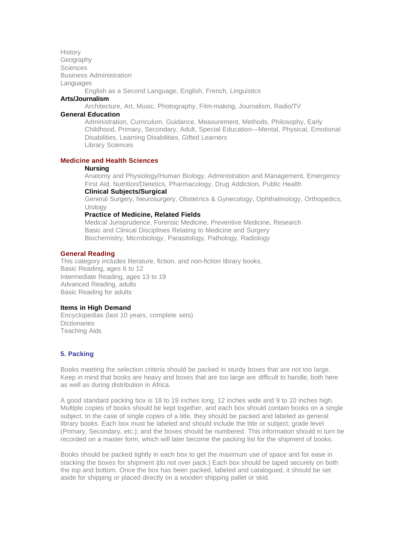**History** Geography **Sciences** Business Administration **Languages** 

English as a Second Language, English, French, Linguistics

## **Arts/Journalism**

Architecture, Art, Music, Photography, Film-making, Journalism, Radio/TV

## **General Education**

Administration, Curriculum, Guidance, Measurement, Methods, Philosophy, Early Childhood, Primary, Secondary, Adult, Special Education—Mental, Physical, Emotional Disabilities, Learning Disabilities, Gifted Learners Library Sciences

#### **Medicine and Health Sciences**

#### **Nursing**

Anatomy and Physiology/Human Biology, Administration and Management, Emergency First Aid, Nutrition/Dietetics, Pharmacology, Drug Addiction, Public Health

## **Clinical Subjects/Surgical**

General Surgery, Neurosurgery, Obstetrics & Gynecology, Ophthalmology, Orthopedics, **Urology** 

## **Practice of Medicine, Related Fields**

Medical Jurisprudence, Forensic Medicine, Preventive Medicine, Research Basic and Clinical Disciplines Relating to Medicine and Surgery Biochemistry, Microbiology, Parasitology, Pathology, Radiology

#### **General Reading**

This category includes literature, fiction, and non-fiction library books. Basic Reading, ages 6 to 12 Intermediate Reading, ages 13 to 19 Advanced Reading, adults Basic Reading for adults

#### **Items in High Demand**

Encyclopedias (last 10 years, complete sets) **Dictionaries** Teaching Aids

#### **5. Packing**

Books meeting the selection criteria should be packed in sturdy boxes that are not too large. Keep in mind that books are heavy and boxes that are too large are difficult to handle, both here as well as during distribution in Africa.

A good standard packing box is 18 to 19 inches long, 12 inches wide and 9 to 10 inches high. Multiple copies of books should be kept together, and each box should contain books on a single subject. In the case of single copies of a title, they should be packed and labeled as general library books. Each box must be labeled and should include the title or subject; grade level (Primary, Secondary, etc.); and the boxes should be numbered. This information should in turn be recorded on a master form, which will later become the packing list for the shipment of books.

Books should be packed tightly in each box to get the maximum use of space and for ease in stacking the boxes for shipment (do not over pack.) Each box should be taped securely on both the top and bottom. Once the box has been packed, labeled and catalogued, it should be set aside for shipping or placed directly on a wooden shipping pallet or skid.